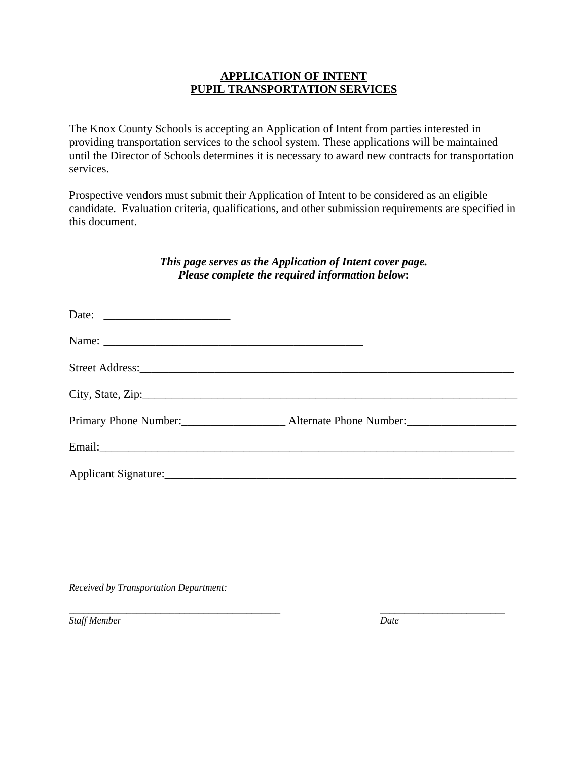## **APPLICATION OF INTENT PUPIL TRANSPORTATION SERVICES**

The Knox County Schools is accepting an Application of Intent from parties interested in providing transportation services to the school system. These applications will be maintained until the Director of Schools determines it is necessary to award new contracts for transportation services.

Prospective vendors must submit their Application of Intent to be considered as an eligible candidate. Evaluation criteria, qualifications, and other submission requirements are specified in this document.

# *This page serves as the Application of Intent cover page. Please complete the required information below***:**

*\_\_\_\_\_\_\_\_\_\_\_\_\_\_\_\_\_\_\_\_\_\_\_\_\_\_\_\_\_\_\_\_\_\_\_\_\_\_\_\_\_\_\_\_ \_\_\_\_\_\_\_\_\_\_\_\_\_\_\_\_\_\_\_\_\_\_\_\_\_\_* 

*Received by Transportation Department:* 

*Staff Member Date*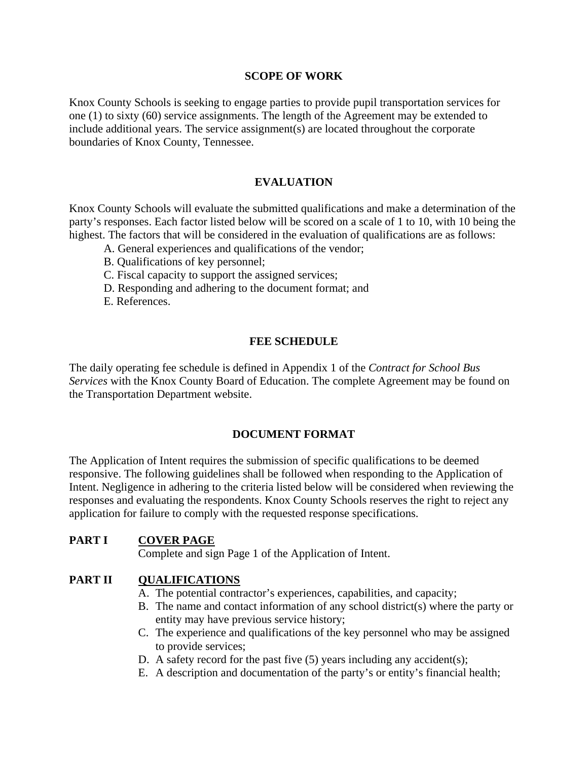## **SCOPE OF WORK**

Knox County Schools is seeking to engage parties to provide pupil transportation services for one (1) to sixty (60) service assignments. The length of the Agreement may be extended to include additional years. The service assignment(s) are located throughout the corporate boundaries of Knox County, Tennessee.

## **EVALUATION**

Knox County Schools will evaluate the submitted qualifications and make a determination of the party's responses. Each factor listed below will be scored on a scale of 1 to 10, with 10 being the highest. The factors that will be considered in the evaluation of qualifications are as follows:

- A. General experiences and qualifications of the vendor;
- B. Qualifications of key personnel;
- C. Fiscal capacity to support the assigned services;
- D. Responding and adhering to the document format; and
- E. References.

### **FEE SCHEDULE**

The daily operating fee schedule is defined in Appendix 1 of the *Contract for School Bus Services* with the Knox County Board of Education. The complete Agreement may be found on the Transportation Department website.

#### **DOCUMENT FORMAT**

The Application of Intent requires the submission of specific qualifications to be deemed responsive. The following guidelines shall be followed when responding to the Application of Intent. Negligence in adhering to the criteria listed below will be considered when reviewing the responses and evaluating the respondents. Knox County Schools reserves the right to reject any application for failure to comply with the requested response specifications.

## **PART I COVER PAGE**

Complete and sign Page 1 of the Application of Intent.

## **PART II QUALIFICATIONS**

- A. The potential contractor's experiences, capabilities, and capacity;
- B. The name and contact information of any school district(s) where the party or entity may have previous service history;
- C. The experience and qualifications of the key personnel who may be assigned to provide services;
- D. A safety record for the past five (5) years including any accident(s);
- E. A description and documentation of the party's or entity's financial health;